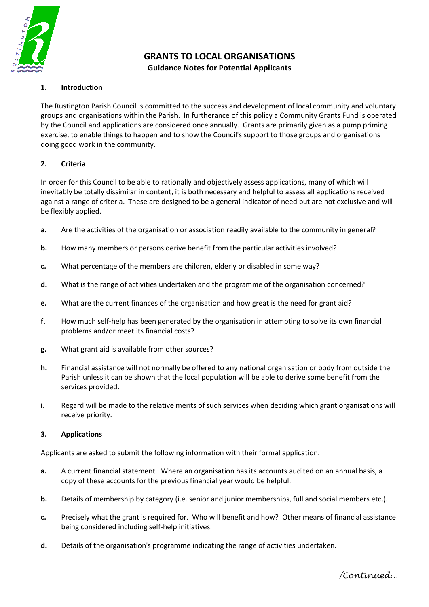

# **GRANTS TO LOCAL ORGANISATIONS Guidance Notes for Potential Applicants**

## **1. Introduction**

The Rustington Parish Council is committed to the success and development of local community and voluntary groups and organisations within the Parish. In furtherance of this policy a Community Grants Fund is operated by the Council and applications are considered once annually. Grants are primarily given as a pump priming exercise, to enable things to happen and to show the Council's support to those groups and organisations doing good work in the community.

#### **2. Criteria**

In order for this Council to be able to rationally and objectively assess applications, many of which will inevitably be totally dissimilar in content, it is both necessary and helpful to assess all applications received against a range of criteria. These are designed to be a general indicator of need but are not exclusive and will be flexibly applied.

- **a.** Are the activities of the organisation or association readily available to the community in general?
- **b.** How many members or persons derive benefit from the particular activities involved?
- **c.** What percentage of the members are children, elderly or disabled in some way?
- **d.** What is the range of activities undertaken and the programme of the organisation concerned?
- **e.** What are the current finances of the organisation and how great is the need for grant aid?
- **f.** How much self-help has been generated by the organisation in attempting to solve its own financial problems and/or meet its financial costs?
- **g.** What grant aid is available from other sources?
- **h.** Financial assistance will not normally be offered to any national organisation or body from outside the Parish unless it can be shown that the local population will be able to derive some benefit from the services provided.
- **i.** Regard will be made to the relative merits of such services when deciding which grant organisations will receive priority.

# **3. Applications**

Applicants are asked to submit the following information with their formal application.

- **a.** A current financial statement. Where an organisation has its accounts audited on an annual basis, a copy of these accounts for the previous financial year would be helpful.
- **b.** Details of membership by category (i.e. senior and junior memberships, full and social members etc.).
- **c.** Precisely what the grant is required for. Who will benefit and how? Other means of financial assistance being considered including self-help initiatives.
- **d.** Details of the organisation's programme indicating the range of activities undertaken.

*/Continued…*